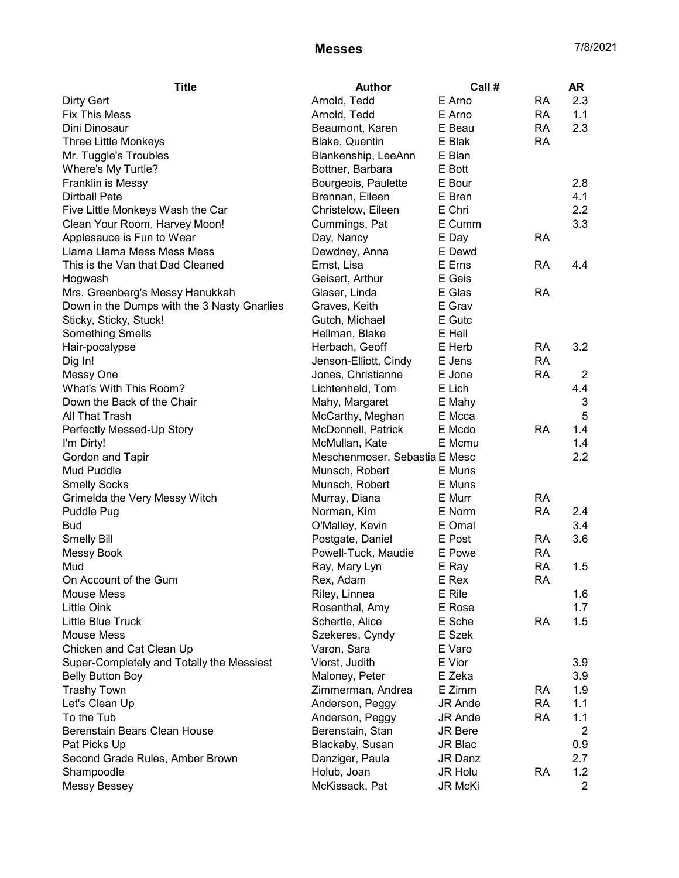## Messes 7/8/2021

| <b>Title</b>                                | <b>Author</b>                 | Call #         |           | <b>AR</b>      |
|---------------------------------------------|-------------------------------|----------------|-----------|----------------|
| <b>Dirty Gert</b>                           | Arnold, Tedd                  | E Arno         | <b>RA</b> | 2.3            |
| <b>Fix This Mess</b>                        | Arnold, Tedd                  | E Arno         | <b>RA</b> | 1.1            |
| Dini Dinosaur                               | Beaumont, Karen               | E Beau         | <b>RA</b> | 2.3            |
| Three Little Monkeys                        | Blake, Quentin                | E Blak         | <b>RA</b> |                |
| Mr. Tuggle's Troubles                       | Blankenship, LeeAnn           | E Blan         |           |                |
| Where's My Turtle?                          | Bottner, Barbara              | E Bott         |           |                |
| Franklin is Messy                           | Bourgeois, Paulette           | E Bour         |           | 2.8            |
| <b>Dirtball Pete</b>                        | Brennan, Eileen               | E Bren         |           | 4.1            |
| Five Little Monkeys Wash the Car            | Christelow, Eileen            | E Chri         |           | 2.2            |
| Clean Your Room, Harvey Moon!               | Cummings, Pat                 | E Cumm         |           | 3.3            |
| Applesauce is Fun to Wear                   | Day, Nancy                    | E Day          | <b>RA</b> |                |
| Llama Llama Mess Mess Mess                  | Dewdney, Anna                 | E Dewd         |           |                |
| This is the Van that Dad Cleaned            | Ernst, Lisa                   | E Erns         | <b>RA</b> | 4.4            |
| Hogwash                                     | Geisert, Arthur               | E Geis         |           |                |
| Mrs. Greenberg's Messy Hanukkah             | Glaser, Linda                 | E Glas         | <b>RA</b> |                |
| Down in the Dumps with the 3 Nasty Gnarlies | Graves, Keith                 | E Grav         |           |                |
| Sticky, Sticky, Stuck!                      | Gutch, Michael                | E Gutc         |           |                |
| <b>Something Smells</b>                     | Hellman, Blake                | E Hell         |           |                |
| Hair-pocalypse                              | Herbach, Geoff                | E Herb         | <b>RA</b> | 3.2            |
| Dig In!                                     | Jenson-Elliott, Cindy         | E Jens         | <b>RA</b> |                |
| Messy One                                   | Jones, Christianne            | E Jone         | <b>RA</b> | $\overline{2}$ |
| What's With This Room?                      | Lichtenheld, Tom              | E Lich         |           | 4.4            |
| Down the Back of the Chair                  | Mahy, Margaret                | E Mahy         |           | 3              |
| All That Trash                              | McCarthy, Meghan              | E Mcca         |           | 5              |
| Perfectly Messed-Up Story                   | McDonnell, Patrick            | E Mcdo         | <b>RA</b> | 1.4            |
| I'm Dirty!                                  | McMullan, Kate                | E Mcmu         |           | 1.4            |
| Gordon and Tapir                            | Meschenmoser, Sebastia E Mesc |                |           |                |
| Mud Puddle                                  | Munsch, Robert                | E Muns         |           | 2.2            |
| <b>Smelly Socks</b>                         | Munsch, Robert                | E Muns         |           |                |
| Grimelda the Very Messy Witch               | Murray, Diana                 | E Murr         | <b>RA</b> |                |
| Puddle Pug                                  | Norman, Kim                   | E Norm         | <b>RA</b> | 2.4            |
| <b>Bud</b>                                  | O'Malley, Kevin               | E Omal         |           | 3.4            |
| <b>Smelly Bill</b>                          | Postgate, Daniel              | E Post         | <b>RA</b> | 3.6            |
| Messy Book                                  | Powell-Tuck, Maudie           | E Powe         | <b>RA</b> |                |
| Mud                                         | Ray, Mary Lyn                 | E Ray          | <b>RA</b> | 1.5            |
| On Account of the Gum                       | Rex, Adam                     | E Rex          | <b>RA</b> |                |
| Mouse Mess                                  | Riley, Linnea                 | E Rile         |           | 1.6            |
| <b>Little Oink</b>                          | Rosenthal, Amy                | E Rose         |           | 1.7            |
| Little Blue Truck                           | Schertle, Alice               | E Sche         | RA        | 1.5            |
| <b>Mouse Mess</b>                           | Szekeres, Cyndy               | E Szek         |           |                |
| Chicken and Cat Clean Up                    | Varon, Sara                   | E Varo         |           |                |
| Super-Completely and Totally the Messiest   | Viorst, Judith                | E Vior         |           | 3.9            |
| <b>Belly Button Boy</b>                     | Maloney, Peter                | E Zeka         |           | 3.9            |
| <b>Trashy Town</b>                          | Zimmerman, Andrea             | E Zimm         | RA        | 1.9            |
| Let's Clean Up                              | Anderson, Peggy               | <b>JR Ande</b> | <b>RA</b> | 1.1            |
| To the Tub                                  | Anderson, Peggy               | <b>JR Ande</b> | <b>RA</b> | 1.1            |
| Berenstain Bears Clean House                | Berenstain, Stan              | <b>JR Bere</b> |           | 2              |
| Pat Picks Up                                | Blackaby, Susan               | JR Blac        |           | 0.9            |
| Second Grade Rules, Amber Brown             | Danziger, Paula               | JR Danz        |           | 2.7            |
| Shampoodle                                  | Holub, Joan                   | JR Holu        | <b>RA</b> | 1.2            |
| Messy Bessey                                | McKissack, Pat                | JR McKi        |           | $\overline{2}$ |
|                                             |                               |                |           |                |